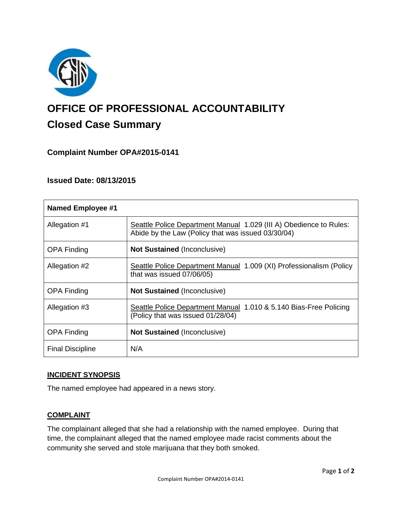

# **OFFICE OF PROFESSIONAL ACCOUNTABILITY Closed Case Summary**

# **Complaint Number OPA#2015-0141**

## **Issued Date: 08/13/2015**

| <b>Named Employee #1</b> |                                                                                                                          |
|--------------------------|--------------------------------------------------------------------------------------------------------------------------|
| Allegation #1            | Seattle Police Department Manual 1.029 (III A) Obedience to Rules:<br>Abide by the Law (Policy that was issued 03/30/04) |
| <b>OPA Finding</b>       | <b>Not Sustained (Inconclusive)</b>                                                                                      |
| Allegation #2            | Seattle Police Department Manual 1.009 (XI) Professionalism (Policy<br>that was issued 07/06/05)                         |
| <b>OPA Finding</b>       | Not Sustained (Inconclusive)                                                                                             |
| Allegation #3            | Seattle Police Department Manual 1.010 & 5.140 Bias-Free Policing<br>(Policy that was issued 01/28/04)                   |
| <b>OPA Finding</b>       | <b>Not Sustained (Inconclusive)</b>                                                                                      |
| <b>Final Discipline</b>  | N/A                                                                                                                      |

### **INCIDENT SYNOPSIS**

The named employee had appeared in a news story.

### **COMPLAINT**

The complainant alleged that she had a relationship with the named employee. During that time, the complainant alleged that the named employee made racist comments about the community she served and stole marijuana that they both smoked.